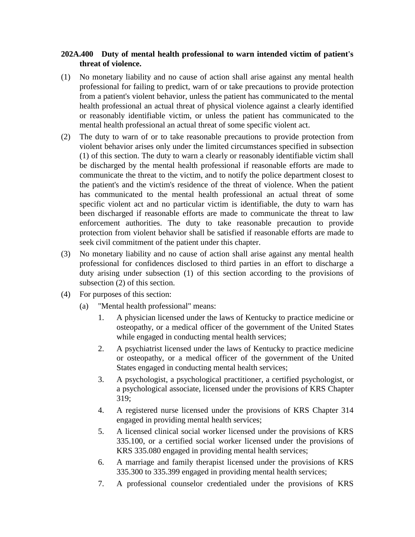## **202A.400 Duty of mental health professional to warn intended victim of patient's threat of violence.**

- (1) No monetary liability and no cause of action shall arise against any mental health professional for failing to predict, warn of or take precautions to provide protection from a patient's violent behavior, unless the patient has communicated to the mental health professional an actual threat of physical violence against a clearly identified or reasonably identifiable victim, or unless the patient has communicated to the mental health professional an actual threat of some specific violent act.
- (2) The duty to warn of or to take reasonable precautions to provide protection from violent behavior arises only under the limited circumstances specified in subsection (1) of this section. The duty to warn a clearly or reasonably identifiable victim shall be discharged by the mental health professional if reasonable efforts are made to communicate the threat to the victim, and to notify the police department closest to the patient's and the victim's residence of the threat of violence. When the patient has communicated to the mental health professional an actual threat of some specific violent act and no particular victim is identifiable, the duty to warn has been discharged if reasonable efforts are made to communicate the threat to law enforcement authorities. The duty to take reasonable precaution to provide protection from violent behavior shall be satisfied if reasonable efforts are made to seek civil commitment of the patient under this chapter.
- (3) No monetary liability and no cause of action shall arise against any mental health professional for confidences disclosed to third parties in an effort to discharge a duty arising under subsection (1) of this section according to the provisions of subsection (2) of this section.
- (4) For purposes of this section:
	- (a) "Mental health professional" means:
		- 1. A physician licensed under the laws of Kentucky to practice medicine or osteopathy, or a medical officer of the government of the United States while engaged in conducting mental health services;
		- 2. A psychiatrist licensed under the laws of Kentucky to practice medicine or osteopathy, or a medical officer of the government of the United States engaged in conducting mental health services;
		- 3. A psychologist, a psychological practitioner, a certified psychologist, or a psychological associate, licensed under the provisions of KRS Chapter 319;
		- 4. A registered nurse licensed under the provisions of KRS Chapter 314 engaged in providing mental health services;
		- 5. A licensed clinical social worker licensed under the provisions of KRS 335.100, or a certified social worker licensed under the provisions of KRS 335.080 engaged in providing mental health services;
		- 6. A marriage and family therapist licensed under the provisions of KRS 335.300 to 335.399 engaged in providing mental health services;
		- 7. A professional counselor credentialed under the provisions of KRS